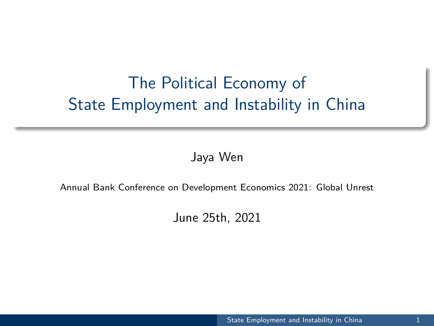# <span id="page-0-0"></span>The Political Economy of State Employment and Instability in China

Jaya Wen

#### Annual Bank Conference on Development Economics 2021: Global Unrest

June 25th, 2021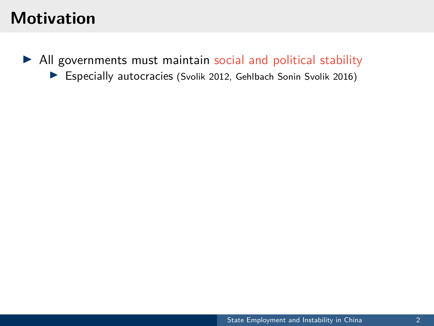## **Motivation**

 $\blacktriangleright$  All governments must maintain social and political stability

Especially autocracies (Svolik 2012, Gehlbach Sonin Svolik 2016)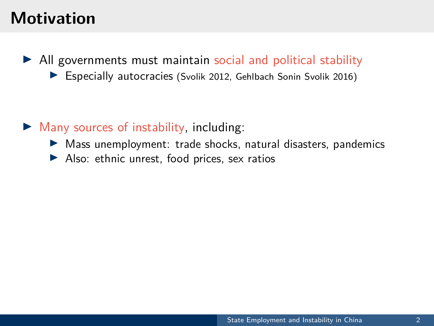## **Motivation**

- $\blacktriangleright$  All governments must maintain social and political stability
	- $\blacktriangleright$  Especially autocracies (Svolik 2012, Gehlbach Sonin Svolik 2016)

- $\triangleright$  Many sources of instability, including:
	- $\triangleright$  Mass unemployment: trade shocks, natural disasters, pandemics
	- $\blacktriangleright$  Also: ethnic unrest, food prices, sex ratios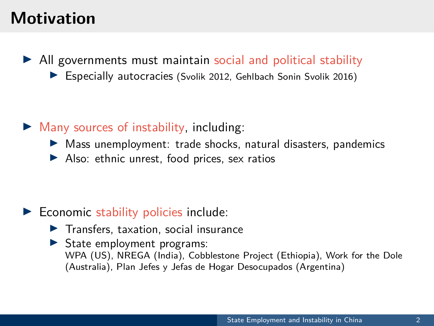## **Motivation**

- $\blacktriangleright$  All governments must maintain social and political stability
	- $\blacktriangleright$  Especially autocracies (Svolik 2012, Gehlbach Sonin Svolik 2016)

- $\triangleright$  Many sources of instability, including:
	- $\triangleright$  Mass unemployment: trade shocks, natural disasters, pandemics
	- $\blacktriangleright$  Also: ethnic unrest, food prices, sex ratios

#### $\blacktriangleright$  Economic stability policies include:

- $\blacktriangleright$  Transfers, taxation, social insurance
- $\triangleright$  State employment programs: WPA (US), NREGA (India), Cobblestone Project (Ethiopia), Work for the Dole (Australia), Plan Jefes y Jefas de Hogar Desocupados (Argentina)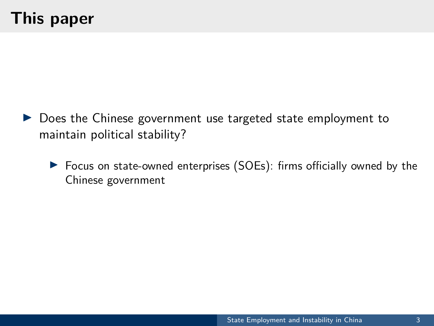# **This paper**

- $\triangleright$  Does the Chinese government use targeted state employment to maintain political stability?
	- $\triangleright$  Focus on state-owned enterprises (SOEs): firms officially owned by the Chinese government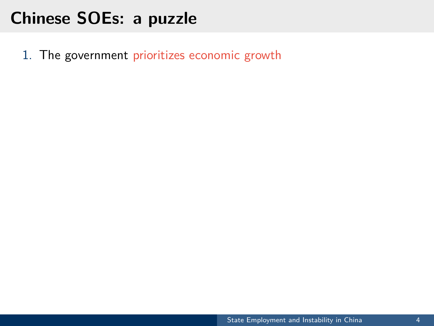1. The government prioritizes economic growth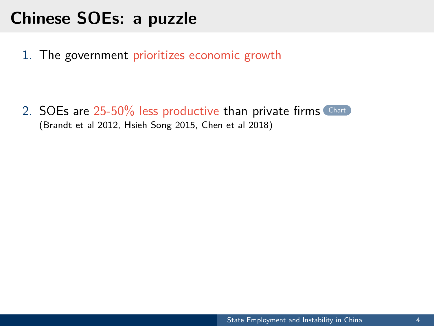1. The government prioritizes economic growth

2. SOEs are 25-50% less productive than private firms [Chart](#page--1-1) (Brandt et al 2012, Hsieh Song 2015, Chen et al 2018)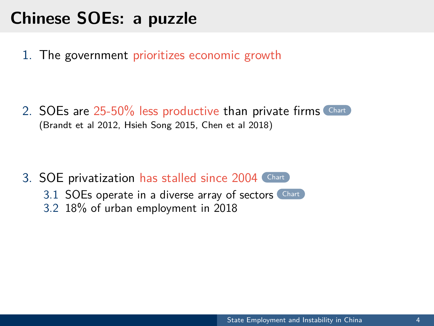1. The government prioritizes economic growth

2. SOEs are 25-50% less productive than private firms [Chart](#page--1-1) (Brandt et al 2012, Hsieh Song 2015, Chen et al 2018)

3. SOE privatization has stalled since 2004 [Chart](#page--1-2) 3.1 SOEs operate in a diverse array of sectors [Chart](#page--1-3) 3.2 18% of urban employment in 2018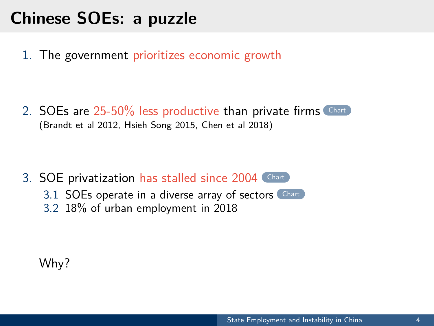1. The government prioritizes economic growth

2. SOEs are 25-50% less productive than private firms [Chart](#page--1-1) (Brandt et al 2012, Hsieh Song 2015, Chen et al 2018)

3. SOE privatization has stalled since 2004 [Chart](#page--1-2) 3.1 SOEs operate in a diverse array of sectors [Chart](#page--1-3) 3.2 18% of urban employment in 2018

Why?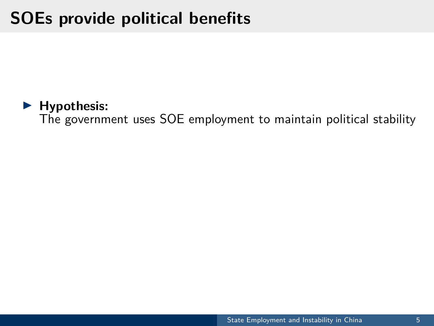# **SOEs provide political benefits**



The government uses SOE employment to maintain political stability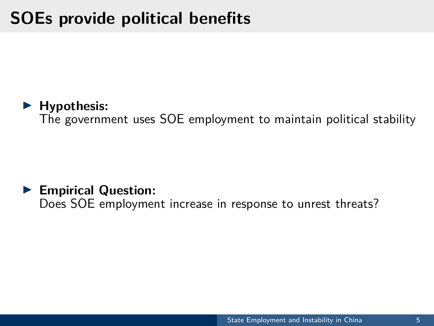# **SOEs provide political benefits**

#### **EXECUTE:** Hypothesis:

The government uses SOE employment to maintain political stability

#### **Empirical Question:** Does SOE employment increase in response to unrest threats?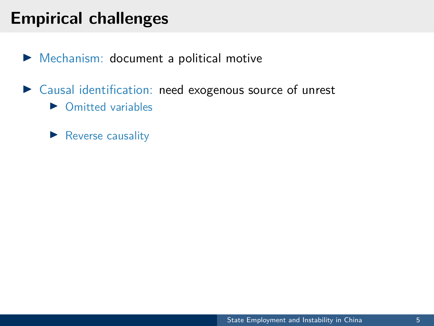## **Empirical challenges**

- $\blacktriangleright$  Mechanism: document a political motive
- $\triangleright$  Causal identification: need exogenous source of unrest
	- $\triangleright$  Omitted variables
	- $\blacktriangleright$  Reverse causality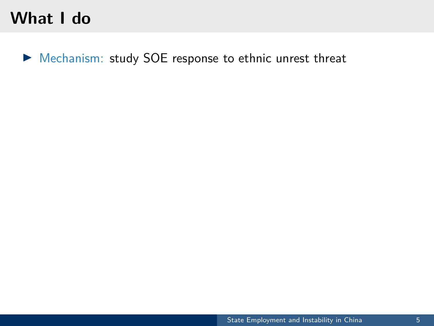## **What I do**

I Mechanism: study SOE response to ethnic unrest threat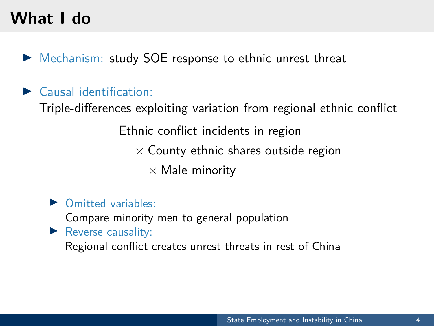## **What I do**

- $\triangleright$  Mechanism: study SOE response to ethnic unrest threat
- $\blacktriangleright$  Causal identification:

Triple-differences exploiting variation from regional ethnic conflict

Ethnic conflict incidents in region

 $\times$  County ethnic shares outside region

 $\times$  Male minority

 $\triangleright$  Omitted variables:

Compare minority men to general population

 $\blacktriangleright$  Reverse causality:

Regional conflict creates unrest threats in rest of China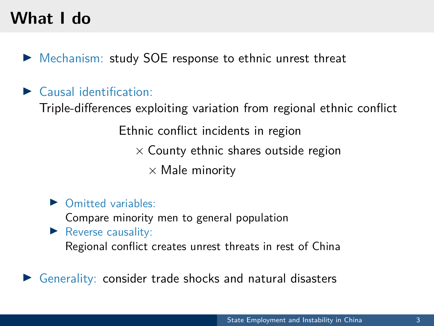# **What I do**

- $\triangleright$  Mechanism: study SOE response to ethnic unrest threat
- $\blacktriangleright$  Causal identification:

Triple-differences exploiting variation from regional ethnic conflict

Ethnic conflict incidents in region

 $\times$  County ethnic shares outside region

 $\times$  Male minority

 $\triangleright$  Omitted variables:

Compare minority men to general population

 $\blacktriangleright$  Reverse causality:

Regional conflict creates unrest threats in rest of China

Generality: consider trade shocks and natural disasters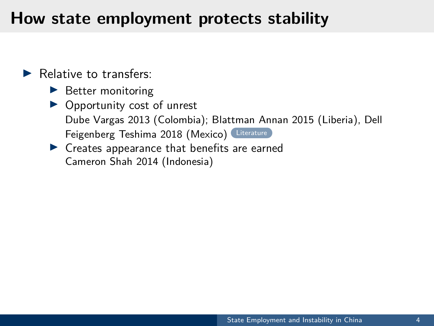## **How state employment protects stability**

 $\blacktriangleright$  Relative to transfers:

- $\blacktriangleright$  Better monitoring
- $\triangleright$  Opportunity cost of unrest Dube Vargas 2013 (Colombia); Blattman Annan 2015 (Liberia), Dell Feigenberg Teshima 2018 (Mexico) [Literature](#page--1-4)
- $\blacktriangleright$  Creates appearance that benefits are earned Cameron Shah 2014 (Indonesia)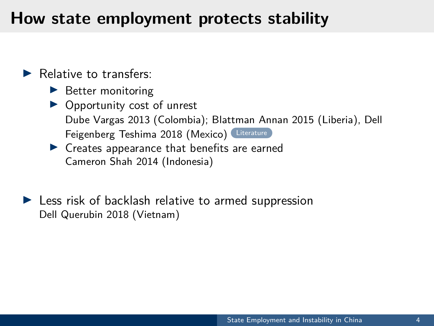## **How state employment protects stability**

- $\blacktriangleright$  Relative to transfers:
	- $\blacktriangleright$  Better monitoring
	- $\triangleright$  Opportunity cost of unrest Dube Vargas 2013 (Colombia); Blattman Annan 2015 (Liberia), Dell Feigenberg Teshima 2018 (Mexico) [Literature](#page--1-4)
	- $\blacktriangleright$  Creates appearance that benefits are earned Cameron Shah 2014 (Indonesia)
- $\blacktriangleright$  Less risk of backlash relative to armed suppression Dell Querubin 2018 (Vietnam)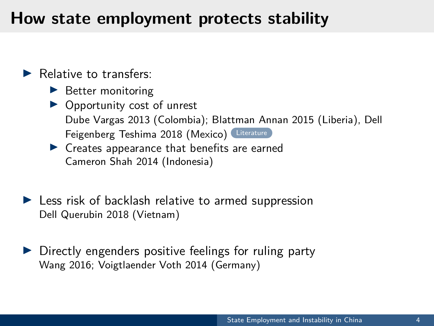## **How state employment protects stability**

- $\blacktriangleright$  Relative to transfers:
	- $\blacktriangleright$  Better monitoring
	- $\triangleright$  Opportunity cost of unrest Dube Vargas 2013 (Colombia); Blattman Annan 2015 (Liberia), Dell Feigenberg Teshima 2018 (Mexico) [Literature](#page--1-4)
	- $\blacktriangleright$  Creates appearance that benefits are earned Cameron Shah 2014 (Indonesia)
- $\blacktriangleright$  Less risk of backlash relative to armed suppression Dell Querubin 2018 (Vietnam)
- $\triangleright$  Directly engenders positive feelings for ruling party Wang 2016; Voigtlaender Voth 2014 (Germany)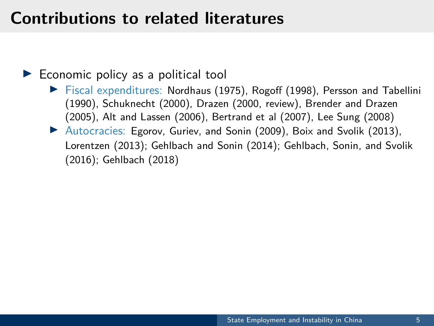## **Contributions to related literatures**

#### $\blacktriangleright$  Economic policy as a political tool

- $\triangleright$  Fiscal expenditures: Nordhaus (1975), Rogoff (1998), Persson and Tabellini (1990), Schuknecht (2000), Drazen (2000, review), Brender and Drazen (2005), Alt and Lassen (2006), Bertrand et al (2007), Lee Sung (2008)
- ▶ Autocracies: Egorov, Guriev, and Sonin (2009), Boix and Svolik (2013), Lorentzen (2013); Gehlbach and Sonin (2014); Gehlbach, Sonin, and Svolik (2016); Gehlbach (2018)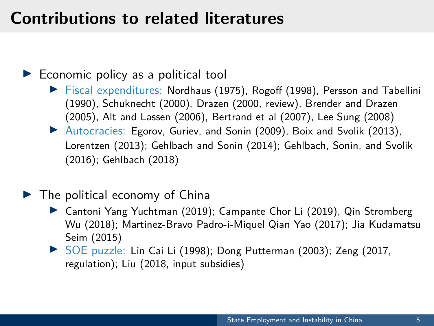## **Contributions to related literatures**

#### $\blacktriangleright$  Economic policy as a political tool

- $\triangleright$  Fiscal expenditures: Nordhaus (1975), Rogoff (1998), Persson and Tabellini (1990), Schuknecht (2000), Drazen (2000, review), Brender and Drazen (2005), Alt and Lassen (2006), Bertrand et al (2007), Lee Sung (2008)
- ▶ Autocracies: Egorov, Guriev, and Sonin (2009), Boix and Svolik (2013), Lorentzen (2013); Gehlbach and Sonin (2014); Gehlbach, Sonin, and Svolik (2016); Gehlbach (2018)

#### $\blacktriangleright$  The political economy of China

- ▶ Cantoni Yang Yuchtman (2019); Campante Chor Li (2019), Qin Stromberg Wu (2018); Martinez-Bravo Padro-i-Miquel Qian Yao (2017); Jia Kudamatsu Seim (2015)
- ▶ SOE puzzle: Lin Cai Li (1998); Dong Putterman (2003); Zeng (2017, regulation); Liu (2018, input subsidies)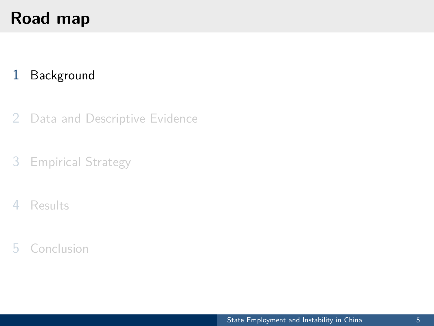# <span id="page-20-0"></span>**Road map**

#### [Background](#page-20-0)

- [Data and Descriptive Evidence](#page-27-0)
- [Empirical Strategy](#page-34-0)
- [Results](#page-46-0)
- [Conclusion](#page-56-0)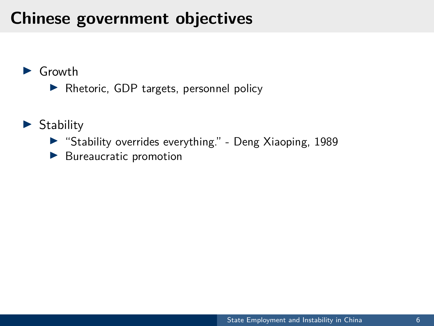# **Chinese government objectives**

#### $\blacktriangleright$  Growth

- $\blacktriangleright$  Rhetoric, GDP targets, personnel policy
- $\blacktriangleright$  Stability
	- ▶ "Stability overrides everything." Deng Xiaoping, 1989
	- $\blacktriangleright$  Bureaucratic promotion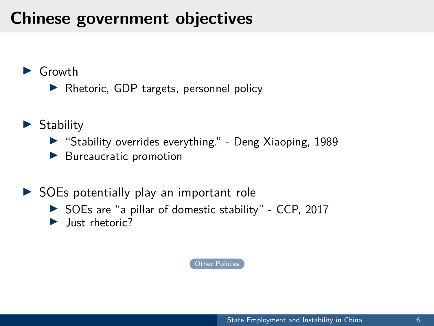# **Chinese government objectives**

#### $\blacktriangleright$  Growth

 $\blacktriangleright$  Rhetoric, GDP targets, personnel policy

- $\blacktriangleright$  Stability
	- ▶ "Stability overrides everything." Deng Xiaoping, 1989
	- $\blacktriangleright$  Bureaucratic promotion
- $\triangleright$  SOEs potentially play an important role
	- $\triangleright$  SOEs are "a pillar of domestic stability" CCP, 2017
	- $\blacktriangleright$  Just rhetoric?

[Other Policies](#page--1-5)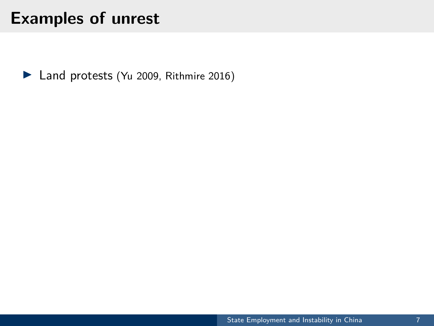▶ Land protests (Yu 2009, Rithmire 2016)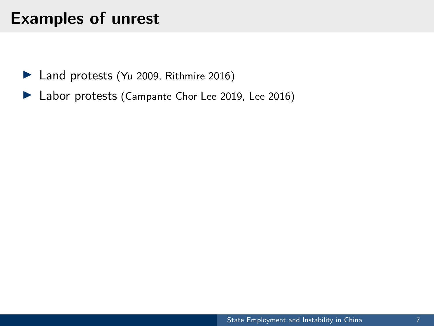- $\blacktriangleright$  Land protests (Yu 2009, Rithmire 2016)
- ▶ Labor protests (Campante Chor Lee 2019, Lee 2016)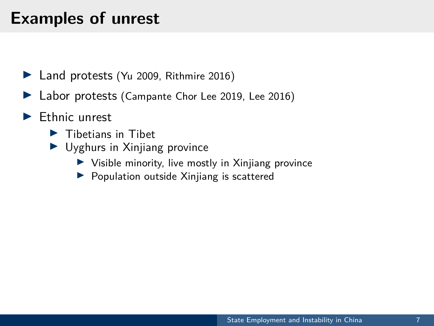- $\blacktriangleright$  Land protests (Yu 2009, Rithmire 2016)
- ▶ Labor protests (Campante Chor Lee 2019, Lee 2016)
- $\blacktriangleright$  Ethnic unrest
	- $\blacktriangleright$  Tibetians in Tibet
	- $\blacktriangleright$  Uyghurs in Xinjiang province
		- $\triangleright$  Visible minority, live mostly in Xinjiang province
		- $\blacktriangleright$  Population outside Xinjiang is scattered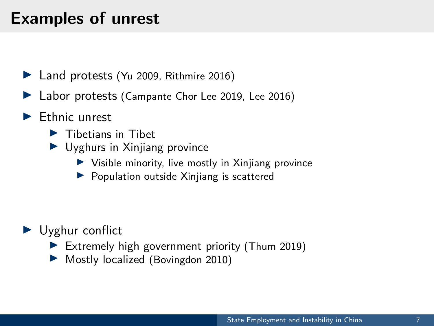- $\blacktriangleright$  Land protests (Yu 2009, Rithmire 2016)
- Labor protests (Campante Chor Lee 2019, Lee 2016)
- $\blacktriangleright$  Ethnic unrest
	- $\blacktriangleright$  Tibetians in Tibet
	- $\blacktriangleright$  Uyghurs in Xinjiang province
		- $\blacktriangleright$  Visible minority, live mostly in Xinjiang province
		- $\blacktriangleright$  Population outside Xinjiang is scattered

- $\blacktriangleright$  Uyghur conflict
	- Extremely high government priority (Thum 2019)
	- Mostly localized (Bovingdon 2010)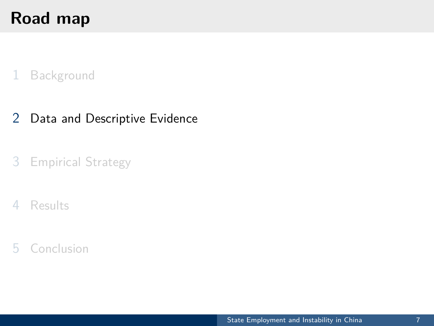# <span id="page-27-0"></span>**Road map**

#### [Background](#page-20-0)

#### [Data and Descriptive Evidence](#page-27-0)

#### [Empirical Strategy](#page-34-0)

#### [Results](#page-46-0)

#### [Conclusion](#page-56-0)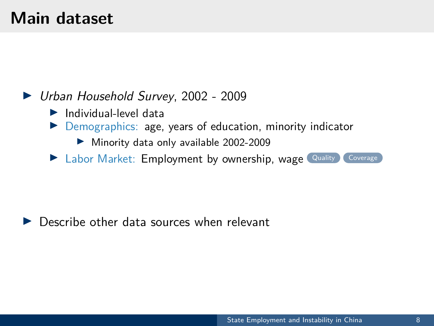## **Main dataset**

#### ▶ Urban Household Survey, 2002 - 2009

- $\blacktriangleright$  Individual-level data
- **IDEMOGRAPHICS:** age, years of education, minority indicator
	- $\blacktriangleright$  Minority data only available 2002-2009
- **I Labor Market: Employment by ownership, wage [Quality](#page--1-6) [Coverage](#page--1-7)**

#### Describe other data sources when relevant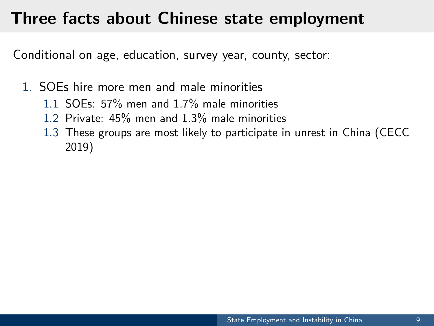## **Three facts about Chinese state employment**

Conditional on age, education, survey year, county, sector:

- 1. SOEs hire more men and male minorities
	- 1.1 SOEs: 57% men and 1.7% male minorities
	- 1.2 Private: 45% men and 1.3% male minorities
	- 1.3 These groups are most likely to participate in unrest in China (CECC 2019)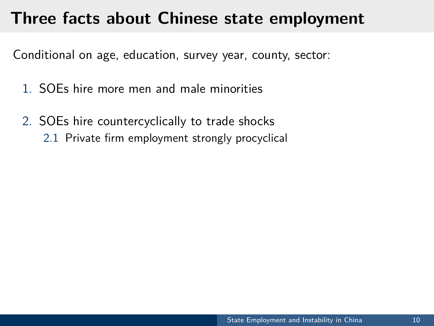## **Three facts about Chinese state employment**

Conditional on age, education, survey year, county, sector:

- 1. SOEs hire more men and male minorities
- 2. SOEs hire countercyclically to trade shocks 2.1 Private firm employment strongly procyclical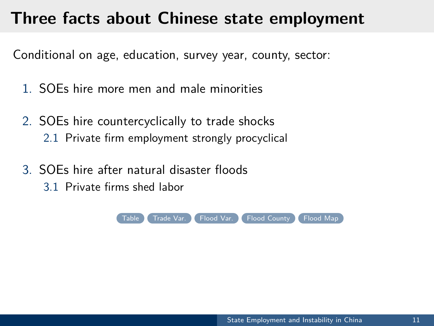## **Three facts about Chinese state employment**

Conditional on age, education, survey year, county, sector:

- 1. SOEs hire more men and male minorities
- 2. SOEs hire countercyclically to trade shocks 2.1 Private firm employment strongly procyclical
- 3. SOEs hire after natural disaster floods
	- 3.1 Private firms shed labor

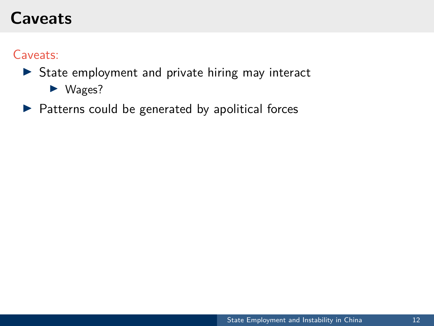# **Caveats**

Caveats:

#### $\triangleright$  State employment and private hiring may interact

 $\blacktriangleright$  Wages?

#### $\blacktriangleright$  Patterns could be generated by apolitical forces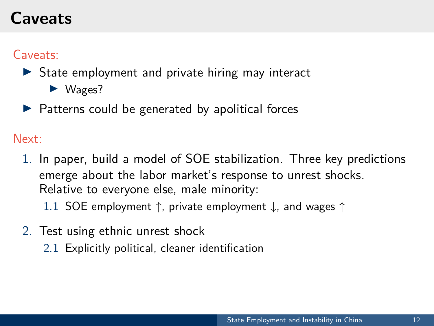# **Caveats**

#### Caveats:

#### $\triangleright$  State employment and private hiring may interact

- $\blacktriangleright$  Wages?
- $\blacktriangleright$  Patterns could be generated by apolitical forces

Next:

- 1. In paper, build a model of SOE stabilization. Three key predictions emerge about the labor market's response to unrest shocks. Relative to everyone else, male minority:
	- 1.1 SOE employment ↑, private employment ↓, and wages ↑
- 2. Test using ethnic unrest shock
	- 2.1 Explicitly political, cleaner identification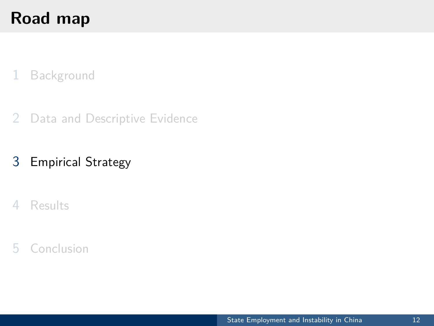# <span id="page-34-0"></span>**Road map**

#### [Background](#page-20-0)

[Data and Descriptive Evidence](#page-27-0)

#### [Empirical Strategy](#page-34-0)

#### [Results](#page-46-0)

#### [Conclusion](#page-56-0)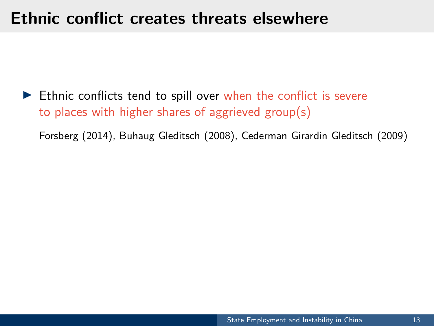### **Ethnic conflict creates threats elsewhere**

 $\blacktriangleright$  Ethnic conflicts tend to spill over when the conflict is severe to places with higher shares of aggrieved group(s)

Forsberg (2014), Buhaug Gleditsch (2008), Cederman Girardin Gleditsch (2009)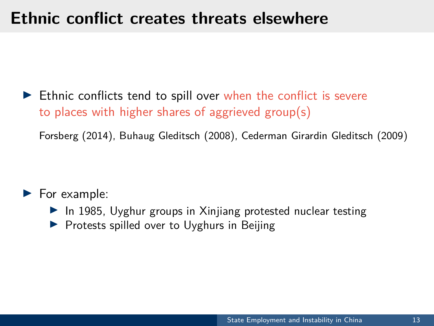## **Ethnic conflict creates threats elsewhere**

 $\blacktriangleright$  Ethnic conflicts tend to spill over when the conflict is severe to places with higher shares of aggrieved group(s)

Forsberg (2014), Buhaug Gleditsch (2008), Cederman Girardin Gleditsch (2009)

 $\blacktriangleright$  For example:

- $\blacktriangleright$  In 1985, Uyghur groups in Xinjiang protested nuclear testing
- **Protests spilled over to Uyghurs in Beijing**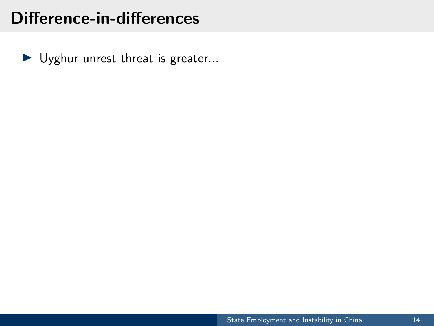$\blacktriangleright$  Uyghur unrest threat is greater...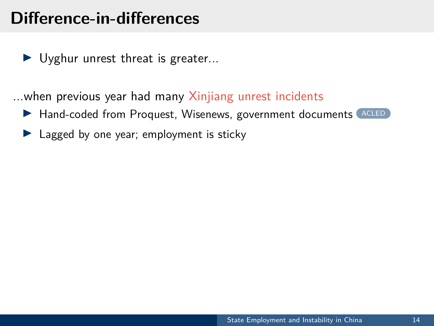$\blacktriangleright$  Uyghur unrest threat is greater...

...when previous year had many Xinjiang unrest incidents

- ▶ Hand-coded from Proquest, Wisenews, government documents ([ACLED](#page--1-13))
- $\blacktriangleright$  Lagged by one year; employment is sticky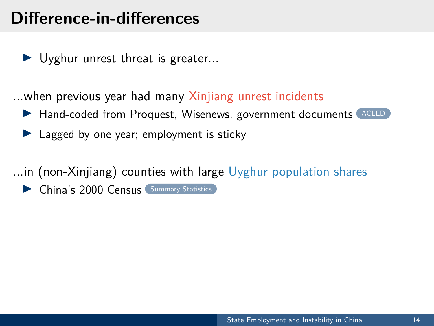$\blacktriangleright$  Uyghur unrest threat is greater...

...when previous year had many Xinjiang unrest incidents

- ▶ Hand-coded from Proquest, Wisenews, government documents [ACLED](#page--1-13)
- $\blacktriangleright$  Lagged by one year; employment is sticky

...in (non-Xinjiang) counties with large Uyghur population shares

 $\triangleright$  China's 2000 Census [Summary Statistics](#page--1-14)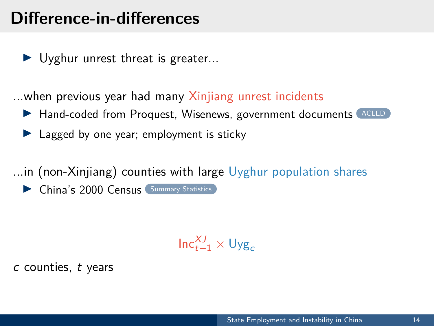$\blacktriangleright$  Uyghur unrest threat is greater...

...when previous year had many Xinjiang unrest incidents

- ▶ Hand-coded from Proquest, Wisenews, government documents [ACLED](#page--1-13)
- $\blacktriangleright$  Lagged by one year; employment is sticky

...in (non-Xinjiang) counties with large Uyghur population shares

 $\triangleright$  China's 2000 Census  $\overline{\phantom{a}}$  [Summary Statistics](#page--1-14)

 $\mathsf{Inc}_{t-1}^{\mathcal{X}J} \times \mathsf{Uyg}_c$ 

c counties, t years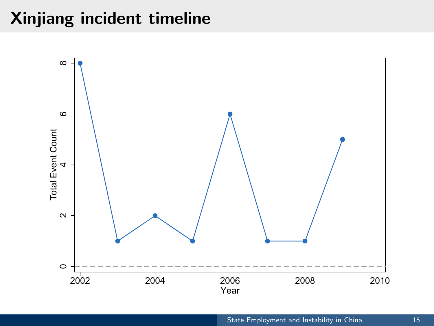## **Xinjiang incident timeline**

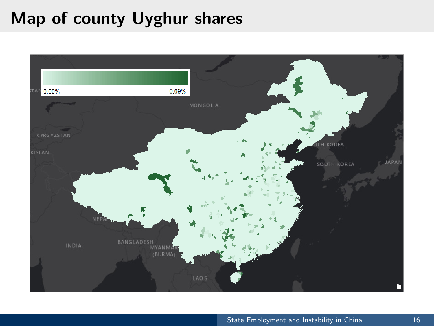# **Map of county Uyghur shares**

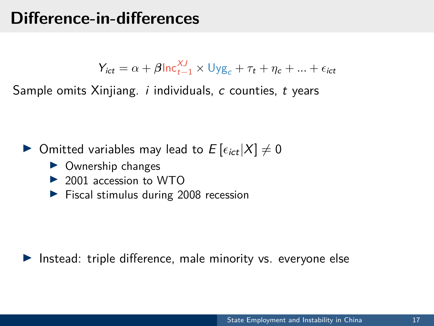$Y_{ict} = \alpha + \beta \ln \frac{XJ}{t-1} \times \text{Uyg}_c + \tau_t + \eta_c + ... + \epsilon_{ict}$ 

Sample omits Xinjiang. *i* individuals, c counties, t years

 $\blacktriangleright$  Omitted variables may lead to  $E\left[\epsilon_{ict}|X|\neq 0\right]$ 

- $\triangleright$  Ownership changes
- $\triangleright$  2001 accession to WTO
- $\blacktriangleright$  Fiscal stimulus during 2008 recession

Instead: triple difference, male minority vs. everyone else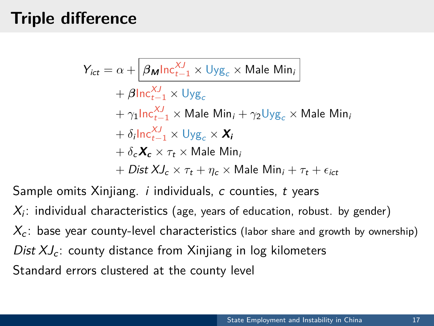# **Triple difference**

 $Y_{ict} = \alpha + \left| \beta_{\mathbf{M}} \ln c_{t-1}^{XJ} \times \mathsf{Uyg}_c \times \mathsf{Male}\right|$  Min<sub>i</sub>  $+ \beta \text{Inc}_{t-1}^{\chi_J} \times \text{Uyg}_c$  $+\gamma_1$ Inc $_{t-1}^{XJ}$  × Male Min<sub>i</sub> +  $\gamma_2 \cup yg_c$  × Male Min<sub>i</sub>  $+ \delta_i \ln c_{t-1}^{XJ} \times \cup yg_c \times \mathbf{X}_i$  $+ \delta_c \mathbf{X}_c \times \tau_t \times$  Male Min<sub>i</sub>  $+$  *Dist XJ<sub>c</sub>*  $\times \tau_t + \eta_c \times$  Male Min<sub>i</sub> +  $\tau_t + \epsilon_{ict}$ 

Sample omits Xiniiang.  $i$  individuals,  $c$  counties,  $t$  years

 $X_i$ : individual characteristics (age, years of education, robust. by gender)  $X_c$ : base year county-level characteristics (labor share and growth by ownership) Dist  $XJ_c$ : county distance from Xinjiang in log kilometers Standard errors clustered at the county level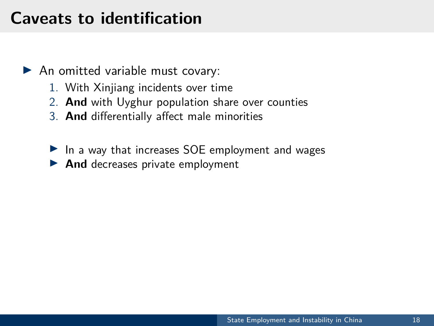## **Caveats to identification**

- $\blacktriangleright$  An omitted variable must covary:
	- 1. With Xinjiang incidents over time
	- 2. **And** with Uyghur population share over counties
	- 3. **And** differentially affect male minorities
	- $\blacktriangleright$  In a way that increases SOE employment and wages
	- **And** decreases private employment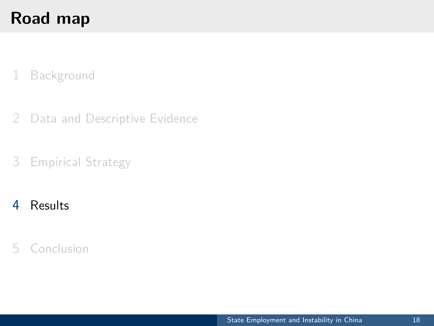# <span id="page-46-0"></span>**Road map**

#### [Background](#page-20-0)

- [Data and Descriptive Evidence](#page-27-0)
- [Empirical Strategy](#page-34-0)

#### [Results](#page-46-0)

#### [Conclusion](#page-56-0)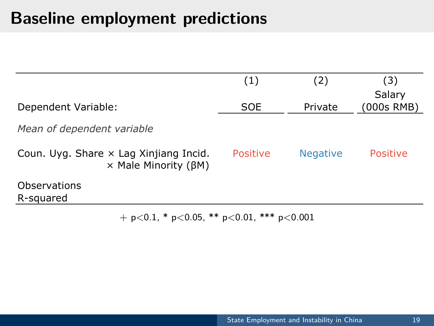# **Baseline employment predictions**

|                                                                                      | (1)        | (2)             | (3)<br>Salary   |
|--------------------------------------------------------------------------------------|------------|-----------------|-----------------|
| Dependent Variable:                                                                  | <b>SOE</b> | Private         | (000s RMB)      |
| Mean of dependent variable                                                           |            |                 |                 |
| Coun. Uyg. Share $\times$ Lag Xinjiang Incid.<br>$\times$ Male Minority ( $\beta$ M) | Positive   | <b>Negative</b> | <b>Positive</b> |
| Observations<br>R-squared                                                            |            |                 |                 |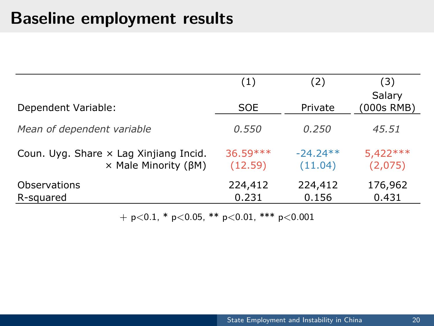## **Baseline employment results**

|                                                                               | (1)                  | (2)                   | (3)                   |
|-------------------------------------------------------------------------------|----------------------|-----------------------|-----------------------|
| Dependent Variable:                                                           | <b>SOE</b>           | Private               | Salary<br>(000s RMB)  |
| Mean of dependent variable                                                    | 0.550                | 0.250                 | 45.51                 |
| Coun. Uyg. Share x Lag Xinjiang Incid.<br>$\times$ Male Minority ( $\beta$ M) | 36.59 ***<br>(12.59) | $-24.24**$<br>(11.04) | $5,422***$<br>(2,075) |
| Observations<br>R-squared                                                     | 224,412<br>0.231     | 224,412<br>0.156      | 176,962<br>0.431      |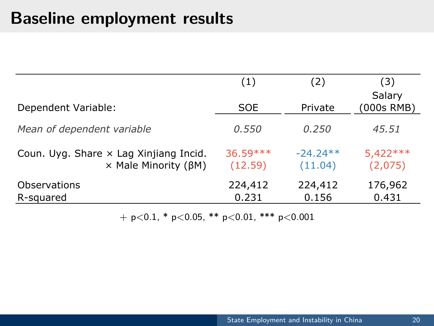## **Baseline employment results**

|                                                                               | (1)                  | (2)                   | (3)                   |
|-------------------------------------------------------------------------------|----------------------|-----------------------|-----------------------|
| Dependent Variable:                                                           | <b>SOE</b>           | Private               | Salary<br>(000s RMB)  |
| Mean of dependent variable                                                    | 0.550                | 0.250                 | 45.51                 |
| Coun. Uyg. Share x Lag Xinjiang Incid.<br>$\times$ Male Minority ( $\beta$ M) | 36.59 ***<br>(12.59) | $-24.24**$<br>(11.04) | $5,422***$<br>(2,075) |
| Observations<br>R-squared                                                     | 224,412<br>0.231     | 224,412<br>0.156      | 176,962<br>0.431      |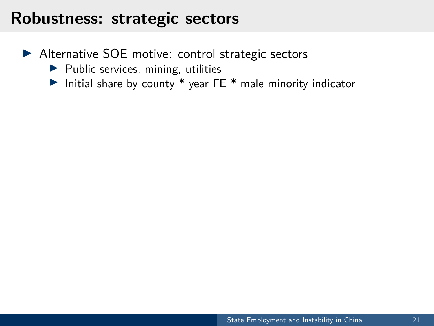#### **Robustness: strategic sectors**

- ▶ Alternative SOE motive: control strategic sectors
	- $\blacktriangleright$  Public services, mining, utilities
	- Initial share by county  $*$  year FE  $*$  male minority indicator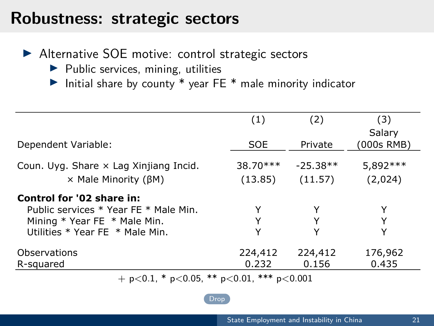#### **Robustness: strategic sectors**

▶ Alternative SOE motive: control strategic sectors

- $\blacktriangleright$  Public services, mining, utilities
- Initial share by county  $*$  year FE  $*$  male minority indicator

|                                                      | (1)        | (2)        | (3)                  |  |
|------------------------------------------------------|------------|------------|----------------------|--|
| Dependent Variable:                                  | <b>SOE</b> | Private    | Salary<br>(000s RMB) |  |
| Coun. Uyg. Share x Lag Xinjiang Incid.               | 38.70***   | $-25.38**$ | 5,892 ***            |  |
| $\times$ Male Minority ( $\beta$ M)                  | (13.85)    | (11.57)    | (2,024)              |  |
| Control for '02 share in:                            |            |            |                      |  |
| Public services * Year FE * Male Min.                | Y          |            | Y                    |  |
| Mining $*$ Year FE $*$ Male Min.                     | Y          | Y          | Υ                    |  |
| Utilities * Year FE * Male Min.                      | Y          | Υ          | Y                    |  |
| Observations                                         | 224,412    | 224,412    | 176,962              |  |
| R-squared                                            | 0.232      | 0.156      | 0.435                |  |
| + $p<0.1$ , * $p<0.05$ , ** $p<0.01$ , *** $p<0.001$ |            |            |                      |  |

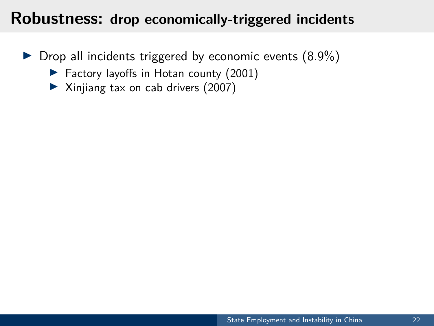#### **Robustness: drop economically-triggered incidents**

- $\triangleright$  Drop all incidents triggered by economic events (8.9%)
	- ▶ Factory layoffs in Hotan county (2001)
	- ▶ Xinjiang tax on cab drivers (2007)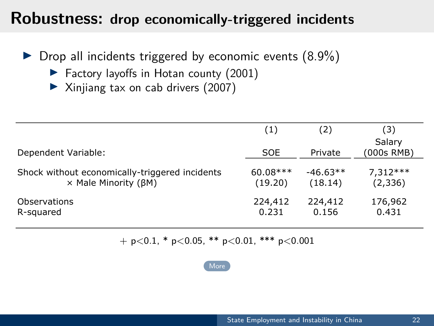#### **Robustness: drop economically-triggered incidents**

- $\triangleright$  Drop all incidents triggered by economic events (8.9%)
	- $\blacktriangleright$  Factory layoffs in Hotan county (2001)
	- $\blacktriangleright$  Xinjiang tax on cab drivers (2007)

|                                                | (1)        | (2)        | (3)                  |
|------------------------------------------------|------------|------------|----------------------|
| Dependent Variable:                            | <b>SOE</b> | Private    | Salary<br>(000s RMB) |
| Shock without economically-triggered incidents | $60.08***$ | $-46.63**$ | $7,312***$           |
| $\times$ Male Minority ( $\beta$ M)            | (19.20)    | (18.14)    | (2,336)              |
| Observations                                   | 224,412    | 224,412    | 176,962              |
| R-squared                                      | 0.231      | 0.156      | 0.431                |

 $+$  p $<$ 0.1, \* p $<$ 0.05, \*\* p $<$ 0.01, \*\*\* p $<$ 0.001

[More](#page--1-16)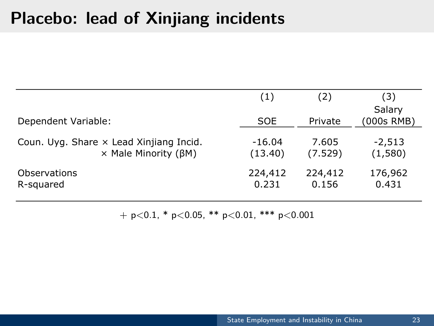# **Placebo: lead of Xinjiang incidents**

|                                         | (1)      | (2)     | (3)                  |
|-----------------------------------------|----------|---------|----------------------|
| Dependent Variable:                     | SOE      | Private | Salary<br>(000s RMB) |
| Coun. Uyg. Share x Lead Xinjiang Incid. | $-16.04$ | 7.605   | $-2,513$             |
| $\times$ Male Minority ( $\beta$ M)     | (13.40)  | (7.529) | (1,580)              |
| Observations                            | 224,412  | 224,412 | 176,962              |
| R-squared                               | 0.231    | 0.156   | 0.431                |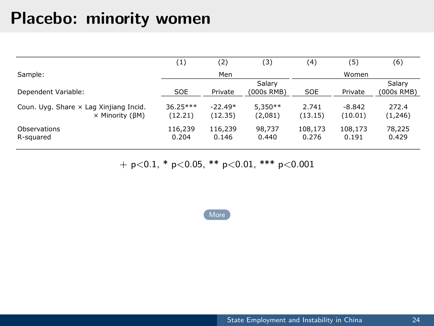#### **Placebo: minority women**

|                                                           | (1)                   | (2)                  | (3)                  | (4)              | (5)                 | (6)              |
|-----------------------------------------------------------|-----------------------|----------------------|----------------------|------------------|---------------------|------------------|
| Sample:                                                   |                       | Men                  |                      |                  | Women               |                  |
|                                                           |                       |                      | Salarv               |                  |                     | Salarv           |
| Dependent Variable:                                       | SOE                   | Private              | (000s RMB)           | SOE              | Private             | (000s RMB)       |
| Coun. Uyg. Share x Lag Xinjiang Incid.<br>× Minority (BM) | $36.25***$<br>(12.21) | $-22.49*$<br>(12.35) | $5.350**$<br>(2,081) | 2.741<br>(13.15) | $-8.842$<br>(10.01) | 272.4<br>(1,246) |
| Observations<br>R-squared                                 | 116,239<br>0.204      | 116.239<br>0.146     | 98.737<br>0.440      | 108.173<br>0.276 | 108.173<br>0.191    | 78,225<br>0.429  |

 $+$  p<0.1, \* p<0.05, \*\* p<0.01, \*\*\* p<0.001

**[More](#page--1-16)**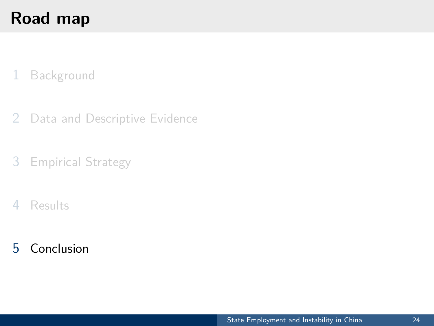# <span id="page-56-0"></span>**Road map**

#### [Background](#page-20-0)

- [Data and Descriptive Evidence](#page-27-0)
- [Empirical Strategy](#page-34-0)
- [Results](#page-46-0)
- [Conclusion](#page-56-0)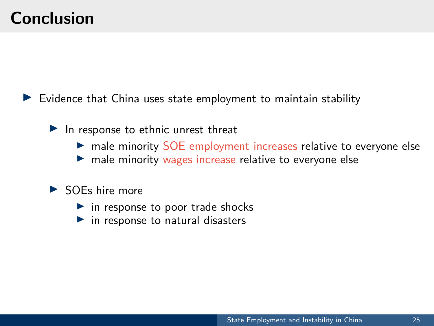## **Conclusion**

Evidence that China uses state employment to maintain stability

 $\blacktriangleright$  In response to ethnic unrest threat

- **In male minority SOE employment increases relative to everyone else**
- $\blacktriangleright$  male minority wages increase relative to everyone else

#### $\triangleright$  SOEs hire more

- $\blacktriangleright$  in response to poor trade shocks
- $\blacktriangleright$  in response to natural disasters